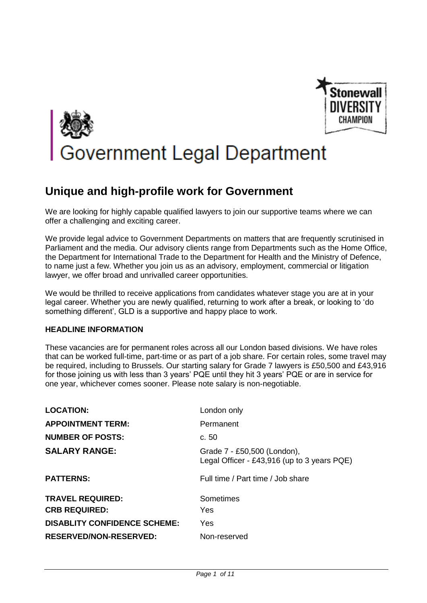



# **Unique and high-profile work for Government**

We are looking for highly capable qualified lawyers to join our supportive teams where we can offer a challenging and exciting career.

We provide legal advice to Government Departments on matters that are frequently scrutinised in Parliament and the media. Our advisory clients range from Departments such as the Home Office, the Department for International Trade to the Department for Health and the Ministry of Defence, to name just a few. Whether you join us as an advisory, employment, commercial or litigation lawyer, we offer broad and unrivalled career opportunities.

We would be thrilled to receive applications from candidates whatever stage you are at in your legal career. Whether you are newly qualified, returning to work after a break, or looking to 'do something different', GLD is a supportive and happy place to work.

## **HEADLINE INFORMATION**

These vacancies are for permanent roles across all our London based divisions. We have roles that can be worked full-time, part-time or as part of a job share. For certain roles, some travel may be required, including to Brussels. Our starting salary for Grade 7 lawyers is £50,500 and £43,916 for those joining us with less than 3 years' PQE until they hit 3 years' PQE or are in service for one year, whichever comes sooner. Please note salary is non-negotiable.

| <b>LOCATION:</b>                    | London only                                                                |
|-------------------------------------|----------------------------------------------------------------------------|
| <b>APPOINTMENT TERM:</b>            | Permanent                                                                  |
| <b>NUMBER OF POSTS:</b>             | c.50                                                                       |
| <b>SALARY RANGE:</b>                | Grade 7 - £50,500 (London),<br>Legal Officer - £43,916 (up to 3 years PQE) |
| <b>PATTERNS:</b>                    | Full time / Part time / Job share                                          |
| <b>TRAVEL REQUIRED:</b>             | Sometimes                                                                  |
| <b>CRB REQUIRED:</b>                | Yes                                                                        |
| <b>DISABLITY CONFIDENCE SCHEME:</b> | Yes                                                                        |
| <b>RESERVED/NON-RESERVED:</b>       | Non-reserved                                                               |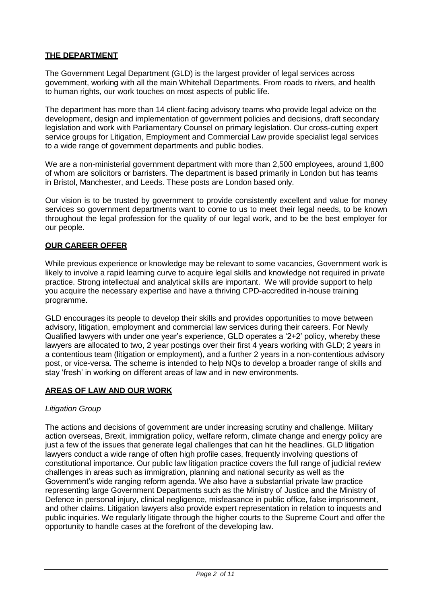# **THE DEPARTMENT**

The Government Legal Department (GLD) is the largest provider of legal services across government, working with all the main Whitehall Departments. From roads to rivers, and health to human rights, our work touches on most aspects of public life.

The department has more than 14 client-facing advisory teams who provide legal advice on the development, design and implementation of government policies and decisions, draft secondary legislation and work with Parliamentary Counsel on primary legislation. Our cross-cutting expert service groups for Litigation, Employment and Commercial Law provide specialist legal services to a wide range of government departments and public bodies.

We are a non-ministerial government department with more than 2,500 employees, around 1,800 of whom are solicitors or barristers. The department is based primarily in London but has teams in Bristol, Manchester, and Leeds. These posts are London based only.

Our vision is to be trusted by government to provide consistently excellent and value for money services so government departments want to come to us to meet their legal needs, to be known throughout the legal profession for the quality of our legal work, and to be the best employer for our people.

## **OUR CAREER OFFER**

While previous experience or knowledge may be relevant to some vacancies, Government work is likely to involve a rapid learning curve to acquire legal skills and knowledge not required in private practice. Strong intellectual and analytical skills are important. We will provide support to help you acquire the necessary expertise and have a thriving CPD-accredited in-house training programme.

GLD encourages its people to develop their skills and provides opportunities to move between advisory, litigation, employment and commercial law services during their careers. For Newly Qualified lawyers with under one year's experience, GLD operates a '2+2' policy, whereby these lawyers are allocated to two, 2 year postings over their first 4 years working with GLD; 2 years in a contentious team (litigation or employment), and a further 2 years in a non-contentious advisory post, or vice-versa. The scheme is intended to help NQs to develop a broader range of skills and stay 'fresh' in working on different areas of law and in new environments.

### **AREAS OF LAW AND OUR WORK**

### *Litigation Group*

The actions and decisions of government are under increasing scrutiny and challenge. Military action overseas, Brexit, immigration policy, welfare reform, climate change and energy policy are just a few of the issues that generate legal challenges that can hit the headlines. GLD litigation lawyers conduct a wide range of often high profile cases, frequently involving questions of constitutional importance. Our public law litigation practice covers the full range of judicial review challenges in areas such as immigration, planning and national security as well as the Government's wide ranging reform agenda. We also have a substantial private law practice representing large Government Departments such as the Ministry of Justice and the Ministry of Defence in personal injury, clinical negligence, misfeasance in public office, false imprisonment, and other claims. Litigation lawyers also provide expert representation in relation to inquests and public inquiries. We regularly litigate through the higher courts to the Supreme Court and offer the opportunity to handle cases at the forefront of the developing law.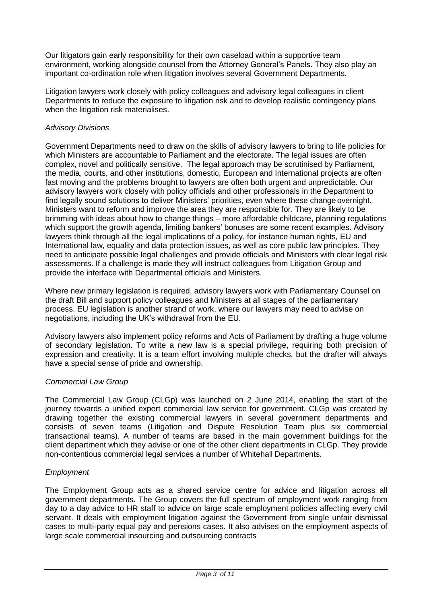Our litigators gain early responsibility for their own caseload within a supportive team environment, working alongside counsel from the Attorney General's Panels. They also play an important co-ordination role when litigation involves several Government Departments.

Litigation lawyers work closely with policy colleagues and advisory legal colleagues in client Departments to reduce the exposure to litigation risk and to develop realistic contingency plans when the litigation risk materialises.

## *Advisory Divisions*

Government Departments need to draw on the skills of advisory lawyers to bring to life policies for which Ministers are accountable to Parliament and the electorate. The legal issues are often complex, novel and politically sensitive. The legal approach may be scrutinised by Parliament, the media, courts, and other institutions, domestic, European and International projects are often fast moving and the problems brought to lawyers are often both urgent and unpredictable. Our advisory lawyers work closely with policy officials and other professionals in the Department to find legally sound solutions to deliver Ministers' priorities, even where these change overnight. Ministers want to reform and improve the area they are responsible for. They are likely to be brimming with ideas about how to change things – more affordable childcare, planning regulations which support the growth agenda, limiting bankers' bonuses are some recent examples. Advisory lawyers think through all the legal implications of a policy, for instance human rights, EU and International law, equality and data protection issues, as well as core public law principles. They need to anticipate possible legal challenges and provide officials and Ministers with clear legal risk assessments. If a challenge is made they will instruct colleagues from Litigation Group and provide the interface with Departmental officials and Ministers.

Where new primary legislation is required, advisory lawyers work with Parliamentary Counsel on the draft Bill and support policy colleagues and Ministers at all stages of the parliamentary process. EU legislation is another strand of work, where our lawyers may need to advise on negotiations, including the UK's withdrawal from the EU.

Advisory lawyers also implement policy reforms and Acts of Parliament by drafting a huge volume of secondary legislation. To write a new law is a special privilege, requiring both precision of expression and creativity. It is a team effort involving multiple checks, but the drafter will always have a special sense of pride and ownership.

## *Commercial Law Group*

The Commercial Law Group (CLGp) was launched on 2 June 2014, enabling the start of the journey towards a unified expert commercial law service for government. CLGp was created by drawing together the existing commercial lawyers in several government departments and consists of seven teams (Litigation and Dispute Resolution Team plus six commercial transactional teams). A number of teams are based in the main government buildings for the client department which they advise or one of the other client departments in CLGp. They provide non-contentious commercial legal services a number of Whitehall Departments.

### *Employment*

The Employment Group acts as a shared service centre for advice and litigation across all government departments. The Group covers the full spectrum of employment work ranging from day to a day advice to HR staff to advice on large scale employment policies affecting every civil servant. It deals with employment litigation against the Government from single unfair dismissal cases to multi-party equal pay and pensions cases. It also advises on the employment aspects of large scale commercial insourcing and outsourcing contracts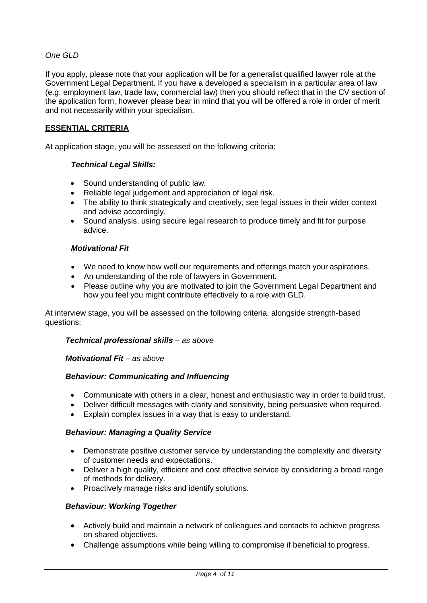# *One GLD*

If you apply, please note that your application will be for a generalist qualified lawyer role at the Government Legal Department. If you have a developed a specialism in a particular area of law (e.g. employment law, trade law, commercial law) then you should reflect that in the CV section of the application form, however please bear in mind that you will be offered a role in order of merit and not necessarily within your specialism.

## **ESSENTIAL CRITERIA**

At application stage, you will be assessed on the following criteria:

### *Technical Legal Skills:*

- Sound understanding of public law.
- Reliable legal judgement and appreciation of legal risk.
- The ability to think strategically and creatively, see legal issues in their wider context and advise accordingly.
- Sound analysis, using secure legal research to produce timely and fit for purpose advice.

#### *Motivational Fit*

- We need to know how well our requirements and offerings match your aspirations.
- An understanding of the role of lawyers in Government.
- Please outline why you are motivated to join the Government Legal Department and how you feel you might contribute effectively to a role with GLD.

At interview stage, you will be assessed on the following criteria, alongside strength-based questions:

#### *Technical professional skills – as above*

#### *Motivational Fit – as above*

### *Behaviour: Communicating and Influencing*

- Communicate with others in a clear, honest and enthusiastic way in order to build trust.
- Deliver difficult messages with clarity and sensitivity, being persuasive when required.
- Explain complex issues in a way that is easy to understand.

### *Behaviour: Managing a Quality Service*

- Demonstrate positive customer service by understanding the complexity and diversity of customer needs and expectations.
- Deliver a high quality, efficient and cost effective service by considering a broad range of methods for delivery.
- Proactively manage risks and identify solutions.

### *Behaviour: Working Together*

- Actively build and maintain a network of colleagues and contacts to achieve progress on shared objectives.
- Challenge assumptions while being willing to compromise if beneficial to progress.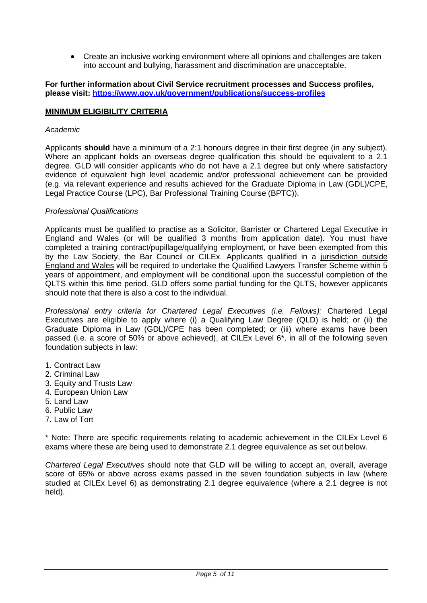Create an inclusive working environment where all opinions and challenges are taken into account and bullying, harassment and discrimination are unacceptable.

#### **For further information about Civil Service recruitment processes and Success profiles, please visit:<https://www.gov.uk/government/publications/success-profiles>**

### **MINIMUM ELIGIBILITY CRITERIA**

#### *Academic*

Applicants **should** have a minimum of a 2:1 honours degree in their first degree (in any subject). Where an applicant holds an overseas degree qualification this should be equivalent to a 2.1 degree. GLD will consider applicants who do not have a 2.1 degree but only where satisfactory evidence of equivalent high level academic and/or professional achievement can be provided (e.g. via relevant experience and results achieved for the Graduate Diploma in Law (GDL)/CPE, Legal Practice Course (LPC), Bar Professional Training Course (BPTC)).

#### *Professional Qualifications*

Applicants must be qualified to practise as a Solicitor, Barrister or Chartered Legal Executive in England and Wales (or will be qualified 3 months from application date). You must have completed a training contract/pupillage/qualifying employment, or have been exempted from this by the Law Society, the Bar Council or CILEx. Applicants qualified in a jurisdiction outside England and Wales will be required to undertake the Qualified Lawyers Transfer Scheme within 5 years of appointment, and employment will be conditional upon the successful completion of the QLTS within this time period. GLD offers some partial funding for the QLTS, however applicants should note that there is also a cost to the individual.

*Professional entry criteria for Chartered Legal Executives (i.e. Fellows):* Chartered Legal Executives are eligible to apply where (i) a Qualifying Law Degree (QLD) is held; or (ii) the Graduate Diploma in Law (GDL)/CPE has been completed; or (iii) where exams have been passed (i.e. a score of 50% or above achieved), at CILEx Level 6\*, in all of the following seven foundation subjects in law:

- 1. Contract Law
- 2. Criminal Law
- 3. Equity and Trusts Law
- 4. European Union Law
- 5. Land Law
- 6. Public Law
- 7. Law of Tort

\* Note: There are specific requirements relating to academic achievement in the CILEx Level 6 exams where these are being used to demonstrate 2.1 degree equivalence as set out below.

*Chartered Legal Executives* should note that GLD will be willing to accept an, overall, average score of 65% or above across exams passed in the seven foundation subjects in law (where studied at CILEx Level 6) as demonstrating 2.1 degree equivalence (where a 2.1 degree is not held).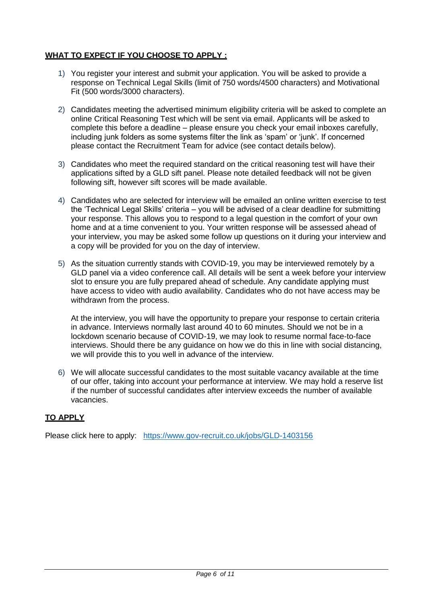# **WHAT TO EXPECT IF YOU CHOOSE TO APPLY :**

- 1) You register your interest and submit your application. You will be asked to provide a response on Technical Legal Skills (limit of 750 words/4500 characters) and Motivational Fit (500 words/3000 characters).
- 2) Candidates meeting the advertised minimum eligibility criteria will be asked to complete an online Critical Reasoning Test which will be sent via email. Applicants will be asked to complete this before a deadline – please ensure you check your email inboxes carefully, including junk folders as some systems filter the link as 'spam' or 'junk'. If concerned please contact the Recruitment Team for advice (see contact details below).
- 3) Candidates who meet the required standard on the critical reasoning test will have their applications sifted by a GLD sift panel. Please note detailed feedback will not be given following sift, however sift scores will be made available.
- 4) Candidates who are selected for interview will be emailed an online written exercise to test the 'Technical Legal Skills' criteria – you will be advised of a clear deadline for submitting your response. This allows you to respond to a legal question in the comfort of your own home and at a time convenient to you. Your written response will be assessed ahead of your interview, you may be asked some follow up questions on it during your interview and a copy will be provided for you on the day of interview.
- 5) As the situation currently stands with COVID-19, you may be interviewed remotely by a GLD panel via a video conference call. All details will be sent a week before your interview slot to ensure you are fully prepared ahead of schedule. Any candidate applying must have access to video with audio availability. Candidates who do not have access may be withdrawn from the process.

At the interview, you will have the opportunity to prepare your response to certain criteria in advance. Interviews normally last around 40 to 60 minutes. Should we not be in a lockdown scenario because of COVID-19, we may look to resume normal face-to-face interviews. Should there be any guidance on how we do this in line with social distancing, we will provide this to you well in advance of the interview.

6) We will allocate successful candidates to the most suitable vacancy available at the time of our offer, taking into account your performance at interview. We may hold a reserve list if the number of successful candidates after interview exceeds the number of available vacancies.

## **TO APPLY**

Please click here to apply: <https://www.gov-recruit.co.uk/jobs/GLD-1403156>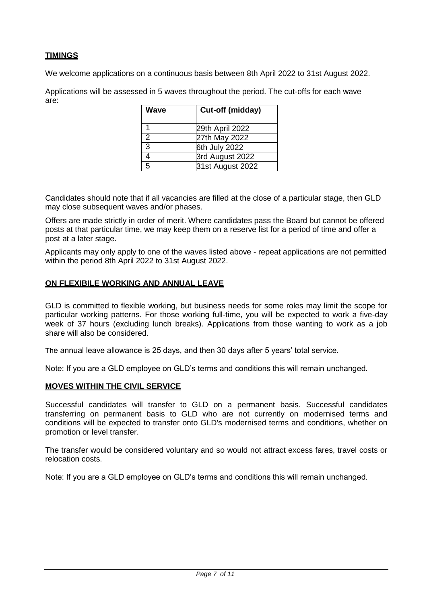# **TIMINGS**

We welcome applications on a continuous basis between 8th April 2022 to 31st August 2022.

Applications will be assessed in 5 waves throughout the period. The cut-offs for each wave are:

| Wave           | Cut-off (midday) |
|----------------|------------------|
|                | 29th April 2022  |
| 2              | 27th May 2022    |
| $\overline{3}$ | 6th July 2022    |
| 4              | 3rd August 2022  |
| 5              | 31st August 2022 |

Candidates should note that if all vacancies are filled at the close of a particular stage, then GLD may close subsequent waves and/or phases.

Offers are made strictly in order of merit. Where candidates pass the Board but cannot be offered posts at that particular time, we may keep them on a reserve list for a period of time and offer a post at a later stage.

Applicants may only apply to one of the waves listed above - repeat applications are not permitted within the period 8th April 2022 to 31st August 2022.

### **ON FLEXIBILE WORKING AND ANNUAL LEAVE**

GLD is committed to flexible working, but business needs for some roles may limit the scope for particular working patterns. For those working full-time, you will be expected to work a five-day week of 37 hours (excluding lunch breaks). Applications from those wanting to work as a job share will also be considered.

The annual leave allowance is 25 days, and then 30 days after 5 years' total service.

Note: If you are a GLD employee on GLD's terms and conditions this will remain unchanged.

## **MOVES WITHIN THE CIVIL SERVICE**

Successful candidates will transfer to GLD on a permanent basis. Successful candidates transferring on permanent basis to GLD who are not currently on modernised terms and conditions will be expected to transfer onto GLD's modernised terms and conditions, whether on promotion or level transfer.

The transfer would be considered voluntary and so would not attract excess fares, travel costs or relocation costs.

Note: If you are a GLD employee on GLD's terms and conditions this will remain unchanged.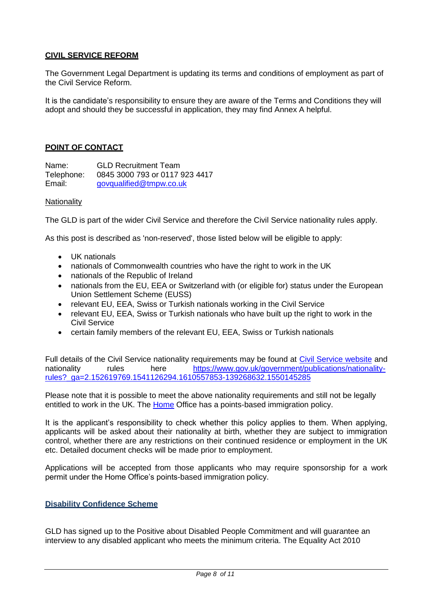# **CIVIL SERVICE REFORM**

The Government Legal Department is updating its terms and conditions of employment as part of the Civil Service Reform.

It is the candidate's responsibility to ensure they are aware of the Terms and Conditions they will adopt and should they be successful in application, they may find Annex A helpful.

## **POINT OF CONTACT**

Name: GLD Recruitment Team<br>Telephone: 0845 3000 793 or 0117 9 Telephone: 0845 3000 793 or 0117 923 4417 [govqualified@tmpw.co.uk](mailto:govqualified@tmpw.co.uk)

#### **Nationality**

The GLD is part of the wider Civil Service and therefore the Civil Service nationality rules apply.

As this post is described as 'non-reserved', those listed below will be eligible to apply:

- UK nationals
- nationals of Commonwealth countries who have the right to work in the UK
- nationals of the Republic of Ireland
- nationals from the EU, EEA or Switzerland with (or eligible for) status under the European Union Settlement Scheme (EUSS)
- relevant EU, EEA, Swiss or Turkish nationals working in the Civil Service
- relevant EU, EEA, Swiss or Turkish nationals who have built up the right to work in the Civil Service
- certain family members of the relevant EU, EEA, Swiss or Turkish nationals

Full details of the Civil Service nationality requirements may be found at [Civil Service website](https://www.gov.uk/government/publications/nationality-rules?_ga=2.143796597.1541126294.1610557853-139268632.1550145285) and nationality rules here [https://www.gov.uk/government/publications/nationality](https://www.gov.uk/government/publications/nationality-rules?_ga=2.152619769.1541126294.1610557853-139268632.1550145285)[rules?\\_ga=2.152619769.1541126294.1610557853-139268632.1550145285](https://www.gov.uk/government/publications/nationality-rules?_ga=2.152619769.1541126294.1610557853-139268632.1550145285)

Please note that it is possible to meet the above nationality requirements and still not be legally entitled to work in the UK. The [Home](http://www.ukba.homeoffice.gov.uk/visas-immigration/working/) Office has a points-based immigration policy.

It is the applicant's responsibility to check whether this policy applies to them. When applying, applicants will be asked about their nationality at birth, whether they are subject to immigration control, whether there are any restrictions on their continued residence or employment in the UK etc. Detailed document checks will be made prior to employment.

Applications will be accepted from those applicants who may require sponsorship for a work permit under the Home Office's points-based immigration policy.

### **Disability Confidence Scheme**

GLD has signed up to the Positive about Disabled People Commitment and will guarantee an interview to any disabled applicant who meets the minimum criteria. The Equality Act 2010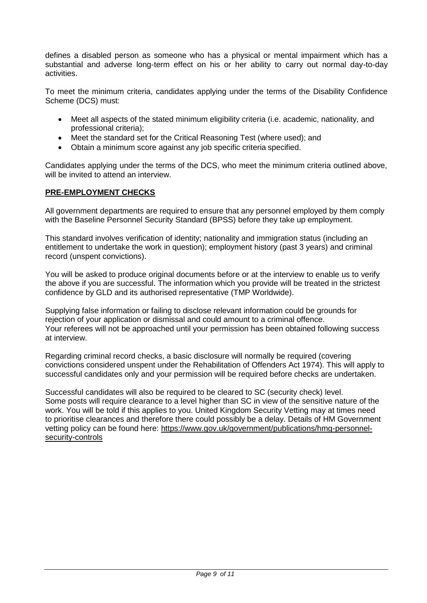defines a disabled person as someone who has a physical or mental impairment which has a substantial and adverse long-term effect on his or her ability to carry out normal day-to-day activities.

To meet the minimum criteria, candidates applying under the terms of the Disability Confidence Scheme (DCS) must:

- Meet all aspects of the stated minimum eligibility criteria (i.e. academic, nationality, and professional criteria);
- Meet the standard set for the Critical Reasoning Test (where used); and
- Obtain a minimum score against any job specific criteria specified.

Candidates applying under the terms of the DCS, who meet the minimum criteria outlined above, will be invited to attend an interview.

### **PRE-EMPLOYMENT CHECKS**

All government departments are required to ensure that any personnel employed by them comply with the Baseline Personnel Security Standard (BPSS) before they take up employment.

This standard involves verification of identity; nationality and immigration status (including an entitlement to undertake the work in question); employment history (past 3 years) and criminal record (unspent convictions).

You will be asked to produce original documents before or at the interview to enable us to verify the above if you are successful. The information which you provide will be treated in the strictest confidence by GLD and its authorised representative (TMP Worldwide).

Supplying false information or failing to disclose relevant information could be grounds for rejection of your application or dismissal and could amount to a criminal offence. Your referees will not be approached until your permission has been obtained following success at interview.

Regarding criminal record checks, a basic disclosure will normally be required (covering convictions considered unspent under the Rehabilitation of Offenders Act 1974). This will apply to successful candidates only and your permission will be required before checks are undertaken.

Successful candidates will also be required to be cleared to SC (security check) level. Some posts will require clearance to a level higher than SC in view of the sensitive nature of the work. You will be told if this applies to you. United Kingdom Security Vetting may at times need to prioritise clearances and therefore there could possibly be a delay. Details of HM Government vetting policy can be found here: [https://www.gov.uk/government/publications/hmg-personnel](https://www.gov.uk/government/publications/hmg-personnel-security-controls)[security-controls](https://www.gov.uk/government/publications/hmg-personnel-security-controls)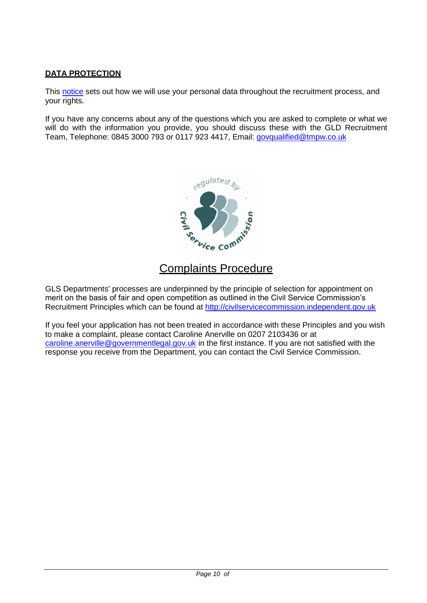# **DATA PROTECTION**

This [notice](https://www.civilservicejobs.service.gov.uk/csr/index.cgi?pageclass=StandardMessage&display=privacy) sets out how we will use your personal data throughout the recruitment process, and your rights.

If you have any concerns about any of the questions which you are asked to complete or what we will do with the information you provide, you should discuss these with the GLD Recruitment Team, Telephone: 0845 3000 793 or 0117 923 4417, Email: [govqualified@tmpw.co.uk](mailto:govqualified@tmpw.co.uk)



# Complaints Procedure

GLS Departments' processes are underpinned by the principle of selection for appointment on merit on the basis of fair and open competition as outlined in the Civil Service Commission's Recruitment Principles which can be found at [http://civilservicecommission.independent.gov.uk](http://civilservicecommission.independent.gov.uk/)

If you feel your application has not been treated in accordance with these Principles and you wish to make a complaint, please contact Caroline Anerville on 0207 2103436 or at [caroline.anerville@governmentlegal.gov.uk](mailto:caroline.anerville@governmentlegal.gov.uk) in the first instance. If you are not satisfied with the response you receive from the Department, you can contact the Civil Service Commission**.**